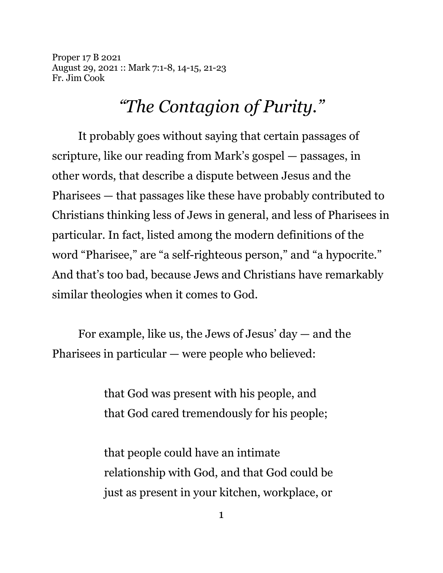Proper 17 B 2021 August 29, 2021 :: Mark 7:1-8, 14-15, 21-23 Fr. Jim Cook

## *"The Contagion of Purity."*

It probably goes without saying that certain passages of scripture, like our reading from Mark's gospel — passages, in other words, that describe a dispute between Jesus and the Pharisees — that passages like these have probably contributed to Christians thinking less of Jews in general, and less of Pharisees in particular. In fact, listed among the modern definitions of the word "Pharisee," are "a self-righteous person," and "a hypocrite." And that's too bad, because Jews and Christians have remarkably similar theologies when it comes to God.

For example, like us, the Jews of Jesus' day — and the Pharisees in particular — were people who believed:

> that God was present with his people, and that God cared tremendously for his people;

that people could have an intimate relationship with God, and that God could be just as present in your kitchen, workplace, or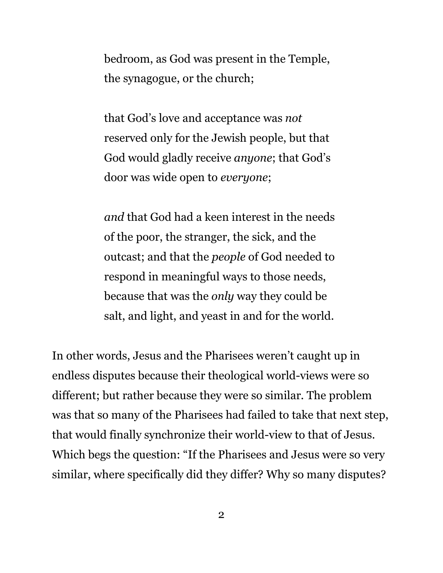bedroom, as God was present in the Temple, the synagogue, or the church;

that God's love and acceptance was *not* reserved only for the Jewish people, but that God would gladly receive *anyone*; that God's door was wide open to *everyone*;

*and* that God had a keen interest in the needs of the poor, the stranger, the sick, and the outcast; and that the *people* of God needed to respond in meaningful ways to those needs, because that was the *only* way they could be salt, and light, and yeast in and for the world.

In other words, Jesus and the Pharisees weren't caught up in endless disputes because their theological world-views were so different; but rather because they were so similar. The problem was that so many of the Pharisees had failed to take that next step, that would finally synchronize their world-view to that of Jesus. Which begs the question: "If the Pharisees and Jesus were so very similar, where specifically did they differ? Why so many disputes?

2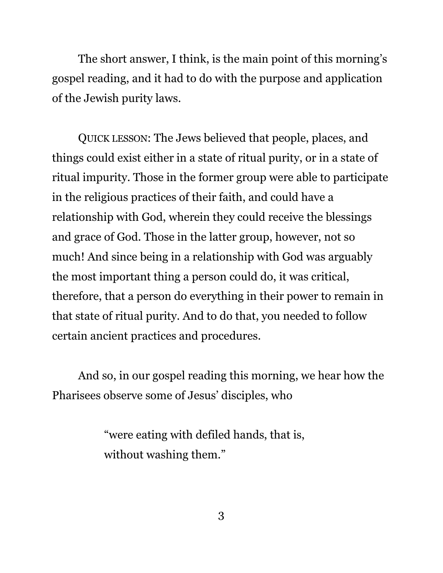The short answer, I think, is the main point of this morning's gospel reading, and it had to do with the purpose and application of the Jewish purity laws.

QUICK LESSON: The Jews believed that people, places, and things could exist either in a state of ritual purity, or in a state of ritual impurity. Those in the former group were able to participate in the religious practices of their faith, and could have a relationship with God, wherein they could receive the blessings and grace of God. Those in the latter group, however, not so much! And since being in a relationship with God was arguably the most important thing a person could do, it was critical, therefore, that a person do everything in their power to remain in that state of ritual purity. And to do that, you needed to follow certain ancient practices and procedures.

And so, in our gospel reading this morning, we hear how the Pharisees observe some of Jesus' disciples, who

> "were eating with defiled hands, that is, without washing them."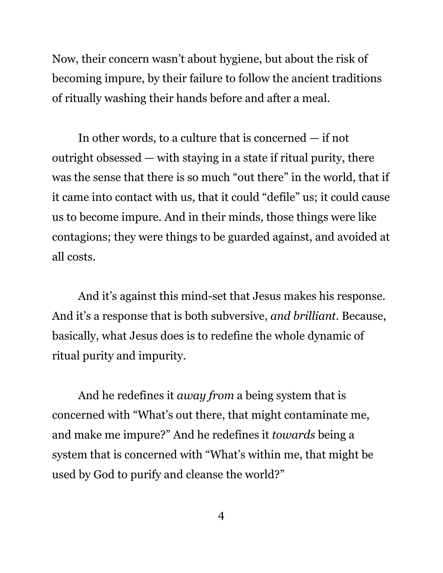Now, their concern wasn't about hygiene, but about the risk of becoming impure, by their failure to follow the ancient traditions of ritually washing their hands before and after a meal.

In other words, to a culture that is concerned — if not outright obsessed — with staying in a state if ritual purity, there was the sense that there is so much "out there" in the world, that if it came into contact with us, that it could "defile" us; it could cause us to become impure. And in their minds, those things were like contagions; they were things to be guarded against, and avoided at all costs.

And it's against this mind-set that Jesus makes his response. And it's a response that is both subversive, *and brilliant*. Because, basically, what Jesus does is to redefine the whole dynamic of ritual purity and impurity.

And he redefines it *away from* a being system that is concerned with "What's out there, that might contaminate me, and make me impure?" And he redefines it *towards* being a system that is concerned with "What's within me, that might be used by God to purify and cleanse the world?"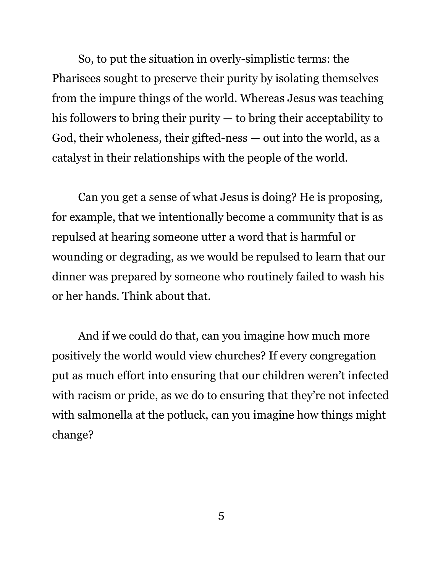So, to put the situation in overly-simplistic terms: the Pharisees sought to preserve their purity by isolating themselves from the impure things of the world. Whereas Jesus was teaching his followers to bring their purity — to bring their acceptability to God, their wholeness, their gifted-ness — out into the world, as a catalyst in their relationships with the people of the world.

Can you get a sense of what Jesus is doing? He is proposing, for example, that we intentionally become a community that is as repulsed at hearing someone utter a word that is harmful or wounding or degrading, as we would be repulsed to learn that our dinner was prepared by someone who routinely failed to wash his or her hands. Think about that.

And if we could do that, can you imagine how much more positively the world would view churches? If every congregation put as much effort into ensuring that our children weren't infected with racism or pride, as we do to ensuring that they're not infected with salmonella at the potluck, can you imagine how things might change?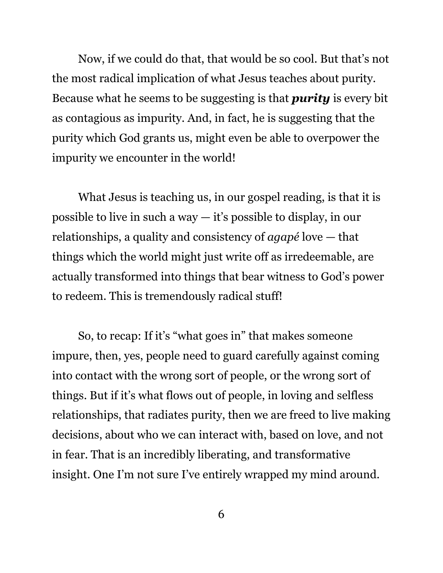Now, if we could do that, that would be so cool. But that's not the most radical implication of what Jesus teaches about purity. Because what he seems to be suggesting is that *purity* is every bit as contagious as impurity. And, in fact, he is suggesting that the purity which God grants us, might even be able to overpower the impurity we encounter in the world!

What Jesus is teaching us, in our gospel reading, is that it is possible to live in such a way — it's possible to display, in our relationships, a quality and consistency of *agapé* love — that things which the world might just write off as irredeemable, are actually transformed into things that bear witness to God's power to redeem. This is tremendously radical stuff!

So, to recap: If it's "what goes in" that makes someone impure, then, yes, people need to guard carefully against coming into contact with the wrong sort of people, or the wrong sort of things. But if it's what flows out of people, in loving and selfless relationships, that radiates purity, then we are freed to live making decisions, about who we can interact with, based on love, and not in fear. That is an incredibly liberating, and transformative insight. One I'm not sure I've entirely wrapped my mind around.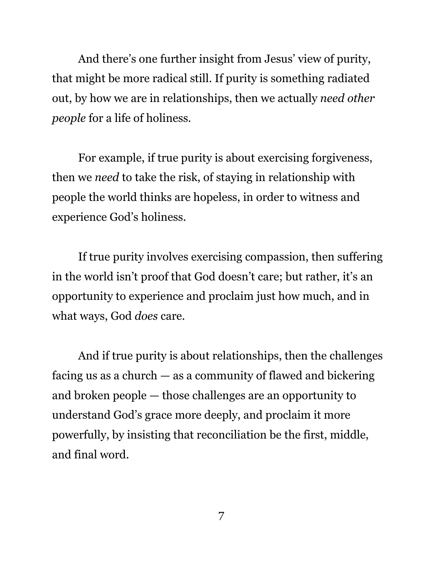And there's one further insight from Jesus' view of purity, that might be more radical still. If purity is something radiated out, by how we are in relationships, then we actually *need other people* for a life of holiness.

For example, if true purity is about exercising forgiveness, then we *need* to take the risk, of staying in relationship with people the world thinks are hopeless, in order to witness and experience God's holiness.

If true purity involves exercising compassion, then suffering in the world isn't proof that God doesn't care; but rather, it's an opportunity to experience and proclaim just how much, and in what ways, God *does* care.

And if true purity is about relationships, then the challenges facing us as a church — as a community of flawed and bickering and broken people — those challenges are an opportunity to understand God's grace more deeply, and proclaim it more powerfully, by insisting that reconciliation be the first, middle, and final word.

7